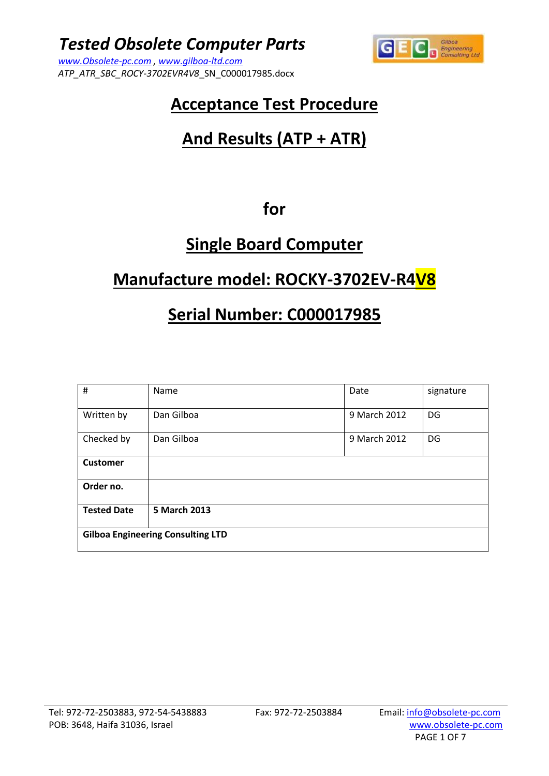*ATP\_ATR\_SBC\_ROCY-3702EVR4V8*\_SN\_C000017985.docx



## **Acceptance Test Procedure**

# **And Results (ATP + ATR)**

### **for**

## **Single Board Computer**

## **Manufacture model: ROCKY-3702EV-R4V8**

## **Serial Number: C000017985**

| $\sharp$                                 | Name       | Date         | signature |  |  |
|------------------------------------------|------------|--------------|-----------|--|--|
| Written by                               | Dan Gilboa | 9 March 2012 | DG        |  |  |
| Checked by                               | Dan Gilboa | 9 March 2012 | DG        |  |  |
| <b>Customer</b>                          |            |              |           |  |  |
| Order no.                                |            |              |           |  |  |
| 5 March 2013<br><b>Tested Date</b>       |            |              |           |  |  |
| <b>Gilboa Engineering Consulting LTD</b> |            |              |           |  |  |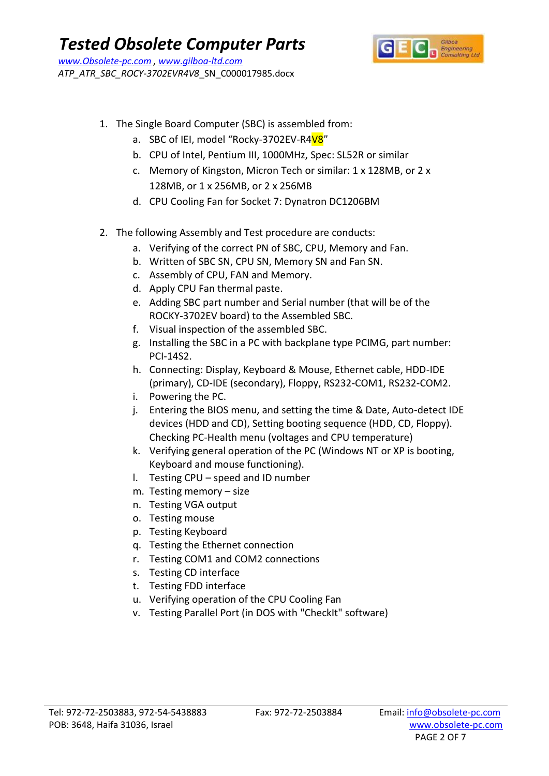

- 1. The Single Board Computer (SBC) is assembled from:
	- a. SBC of IEI, model "Rocky-3702EV-R4V8"
	- b. CPU of Intel, Pentium III, 1000MHz, Spec: SL52R or similar
	- c. Memory of Kingston, Micron Tech or similar: 1 x 128MB, or 2 x 128MB, or 1 x 256MB, or 2 x 256MB
	- d. CPU Cooling Fan for Socket 7: Dynatron DC1206BM
- 2. The following Assembly and Test procedure are conducts:
	- a. Verifying of the correct PN of SBC, CPU, Memory and Fan.
	- b. Written of SBC SN, CPU SN, Memory SN and Fan SN.
	- c. Assembly of CPU, FAN and Memory.
	- d. Apply CPU Fan thermal paste.
	- e. Adding SBC part number and Serial number (that will be of the ROCKY-3702EV board) to the Assembled SBC.
	- f. Visual inspection of the assembled SBC.
	- g. Installing the SBC in a PC with backplane type PCIMG, part number: PCI-14S2.
	- h. Connecting: Display, Keyboard & Mouse, Ethernet cable, HDD-IDE (primary), CD-IDE (secondary), Floppy, RS232-COM1, RS232-COM2.
	- i. Powering the PC.
	- j. Entering the BIOS menu, and setting the time & Date, Auto-detect IDE devices (HDD and CD), Setting booting sequence (HDD, CD, Floppy). Checking PC-Health menu (voltages and CPU temperature)
	- k. Verifying general operation of the PC (Windows NT or XP is booting, Keyboard and mouse functioning).
	- l. Testing CPU speed and ID number
	- m. Testing memory size
	- n. Testing VGA output
	- o. Testing mouse
	- p. Testing Keyboard
	- q. Testing the Ethernet connection
	- r. Testing COM1 and COM2 connections
	- s. Testing CD interface
	- t. Testing FDD interface
	- u. Verifying operation of the CPU Cooling Fan
	- v. Testing Parallel Port (in DOS with "CheckIt" software)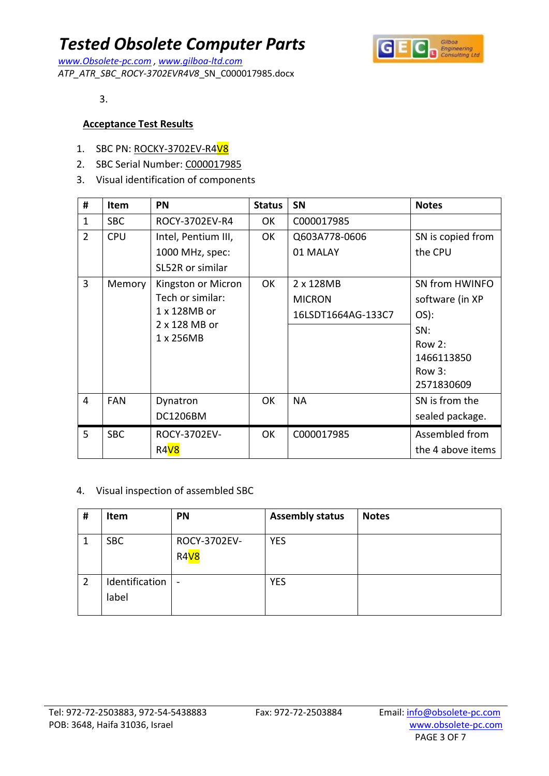*www.Obsolete-pc.com , www.gilboa-ltd.com ATP\_ATR\_SBC\_ROCY-3702EVR4V8*\_SN\_C000017985.docx



3.

#### **Acceptance Test Results**

- 1. SBC PN: ROCKY-3702EV-R4V8
- 2. SBC Serial Number: C000017985
- 3. Visual identification of components

| #              | <b>Item</b> | <b>PN</b>                  | <b>Status</b> | <b>SN</b>          | <b>Notes</b>      |
|----------------|-------------|----------------------------|---------------|--------------------|-------------------|
| $\mathbf{1}$   | <b>SBC</b>  | ROCY-3702EV-R4             | OK            | C000017985         |                   |
| $\overline{2}$ | <b>CPU</b>  | Intel, Pentium III,        | OK            | Q603A778-0606      | SN is copied from |
|                |             | 1000 MHz, spec:            |               | 01 MALAY           | the CPU           |
|                |             | SL52R or similar           |               |                    |                   |
| $\overline{3}$ | Memory      | Kingston or Micron         | OK            | 2 x 128MB          | SN from HWINFO    |
|                |             | Tech or similar:           |               | <b>MICRON</b>      | software (in XP   |
|                |             | 1 x 128MB or               |               | 16LSDT1664AG-133C7 | OS):              |
|                |             | 2 x 128 MB or<br>1 x 256MB |               |                    | SN:               |
|                |             |                            |               |                    | Row 2:            |
|                |             |                            |               |                    | 1466113850        |
|                |             |                            |               |                    | Row 3:            |
|                |             |                            |               |                    | 2571830609        |
| 4              | <b>FAN</b>  | Dynatron                   | 0K            | NA                 | SN is from the    |
|                |             | DC1206BM                   |               |                    | sealed package.   |
| 5              | <b>SBC</b>  | ROCY-3702EV-               | OK            | C000017985         | Assembled from    |
|                |             | R4 <sub>V8</sub>           |               |                    | the 4 above items |

#### 4. Visual inspection of assembled SBC

| # | <b>Item</b>             | PN                               | <b>Assembly status</b> | <b>Notes</b> |
|---|-------------------------|----------------------------------|------------------------|--------------|
|   | <b>SBC</b>              | ROCY-3702EV-<br>R4 <sub>V8</sub> | <b>YES</b>             |              |
| 2 | Identification<br>label | $\overline{\phantom{a}}$         | <b>YES</b>             |              |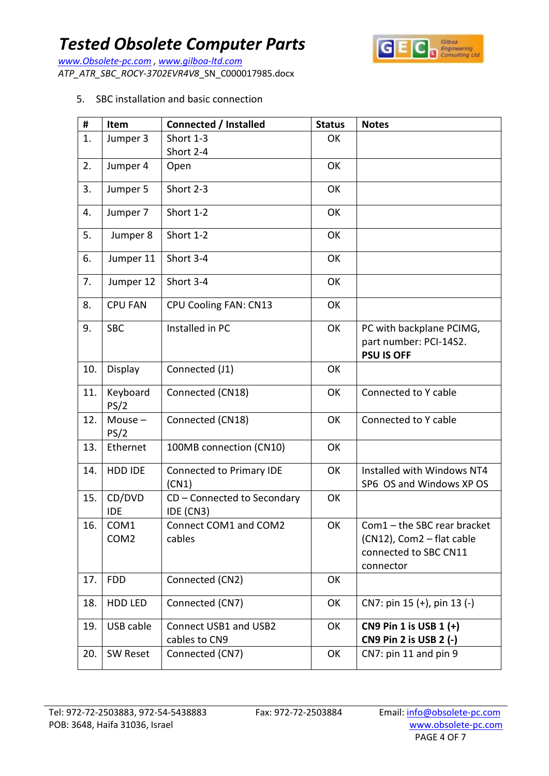Gilboa<br>Engineering<br>Consulting Ltd  $|G|$ 

*www.Obsolete-pc.com , www.gilboa-ltd.com ATP\_ATR\_SBC\_ROCY-3702EVR4V8*\_SN\_C000017985.docx

5. SBC installation and basic connection

| #   | Item                     | <b>Connected / Installed</b>             | <b>Status</b> | <b>Notes</b>                                                                                   |
|-----|--------------------------|------------------------------------------|---------------|------------------------------------------------------------------------------------------------|
| 1.  | Jumper 3                 | Short 1-3                                | OK            |                                                                                                |
|     |                          | Short 2-4                                |               |                                                                                                |
| 2.  | Jumper 4                 | Open                                     | OK            |                                                                                                |
| 3.  | Jumper 5                 | Short 2-3                                | OK            |                                                                                                |
| 4.  | Jumper 7                 | Short 1-2                                | OK            |                                                                                                |
| 5.  | Jumper 8                 | Short 1-2                                | OK            |                                                                                                |
| 6.  | Jumper 11                | Short 3-4                                | OK            |                                                                                                |
| 7.  | Jumper 12                | Short 3-4                                | OK            |                                                                                                |
| 8.  | <b>CPU FAN</b>           | <b>CPU Cooling FAN: CN13</b>             | OK            |                                                                                                |
| 9.  | <b>SBC</b>               | Installed in PC                          | OK            | PC with backplane PCIMG,<br>part number: PCI-14S2.<br><b>PSU IS OFF</b>                        |
| 10. | Display                  | Connected (J1)                           | OK            |                                                                                                |
| 11. | Keyboard<br>PS/2         | Connected (CN18)                         | OK            | Connected to Y cable                                                                           |
| 12. | Mouse $-$<br>PS/2        | Connected (CN18)                         | OK            | Connected to Y cable                                                                           |
| 13. | Ethernet                 | 100MB connection (CN10)                  | OK            |                                                                                                |
| 14. | HDD IDE                  | Connected to Primary IDE<br>(CN1)        | OK            | Installed with Windows NT4<br>SP6 OS and Windows XP OS                                         |
| 15. | CD/DVD<br><b>IDE</b>     | CD - Connected to Secondary<br>IDE (CN3) | OK            |                                                                                                |
| 16. | COM1<br>COM <sub>2</sub> | Connect COM1 and COM2<br>cables          | OK            | Com1 - the SBC rear bracket<br>(CN12), Com2 - flat cable<br>connected to SBC CN11<br>connector |
| 17. | <b>FDD</b>               | Connected (CN2)                          | OK            |                                                                                                |
| 18. | HDD LED                  | Connected (CN7)                          | OK            | CN7: pin 15 (+), pin 13 (-)                                                                    |
| 19. | USB cable                | Connect USB1 and USB2<br>cables to CN9   | OK            | CN9 Pin 1 is USB 1 (+)<br>CN9 Pin 2 is USB 2 (-)                                               |
| 20. | SW Reset                 | Connected (CN7)                          | OK            | CN7: pin 11 and pin 9                                                                          |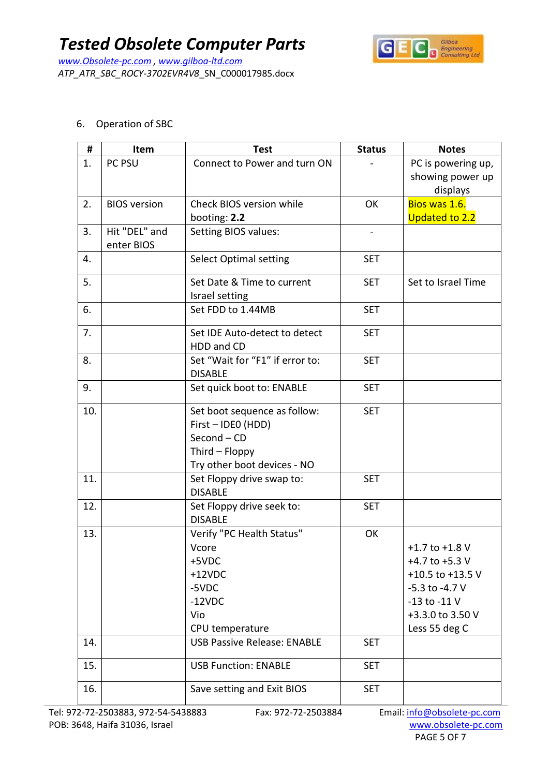*www.Obsolete-pc.com , www.gilboa-ltd.com ATP\_ATR\_SBC\_ROCY-3702EVR4V8*\_SN\_C000017985.docx



6. Operation of SBC

| #   | Item                        | <b>Test</b>                                                                                                        | <b>Status</b> | <b>Notes</b>                                                                                                                              |
|-----|-----------------------------|--------------------------------------------------------------------------------------------------------------------|---------------|-------------------------------------------------------------------------------------------------------------------------------------------|
| 1.  | PC PSU                      | Connect to Power and turn ON                                                                                       |               | PC is powering up,<br>showing power up<br>displays                                                                                        |
| 2.  | <b>BIOS</b> version         | Check BIOS version while<br>booting: 2.2                                                                           | OK            | Bios was 1.6.<br><b>Updated to 2.2</b>                                                                                                    |
| 3.  | Hit "DEL" and<br>enter BIOS | Setting BIOS values:                                                                                               |               |                                                                                                                                           |
| 4.  |                             | <b>Select Optimal setting</b>                                                                                      | <b>SET</b>    |                                                                                                                                           |
| 5.  |                             | Set Date & Time to current<br>Israel setting                                                                       | <b>SET</b>    | Set to Israel Time                                                                                                                        |
| 6.  |                             | Set FDD to 1.44MB                                                                                                  | <b>SET</b>    |                                                                                                                                           |
| 7.  |                             | Set IDE Auto-detect to detect<br>HDD and CD                                                                        | <b>SET</b>    |                                                                                                                                           |
| 8.  |                             | Set "Wait for "F1" if error to:<br><b>DISABLE</b>                                                                  | <b>SET</b>    |                                                                                                                                           |
| 9.  |                             | Set quick boot to: ENABLE                                                                                          | <b>SET</b>    |                                                                                                                                           |
| 10. |                             | Set boot sequence as follow:<br>First - IDEO (HDD)<br>Second - CD<br>Third - Floppy<br>Try other boot devices - NO | <b>SET</b>    |                                                                                                                                           |
| 11. |                             | Set Floppy drive swap to:<br><b>DISABLE</b>                                                                        | <b>SET</b>    |                                                                                                                                           |
| 12. |                             | Set Floppy drive seek to:<br><b>DISABLE</b>                                                                        | <b>SET</b>    |                                                                                                                                           |
| 13. |                             | Verify "PC Health Status"<br>Vcore<br>+5VDC<br>$+12VDC$<br>-5VDC<br>$-12VDC$<br>Vio<br>CPU temperature             | OK            | $+1.7$ to $+1.8$ V<br>+4.7 to +5.3 $V$<br>+10.5 to +13.5 V<br>$-5.3$ to $-4.7$ V<br>$-13$ to $-11$ V<br>+3.3.0 to 3.50 V<br>Less 55 deg C |
| 14. |                             | <b>USB Passive Release: ENABLE</b>                                                                                 | <b>SET</b>    |                                                                                                                                           |
| 15. |                             | <b>USB Function: ENABLE</b>                                                                                        | <b>SET</b>    |                                                                                                                                           |
| 16. |                             | Save setting and Exit BIOS                                                                                         | <b>SET</b>    |                                                                                                                                           |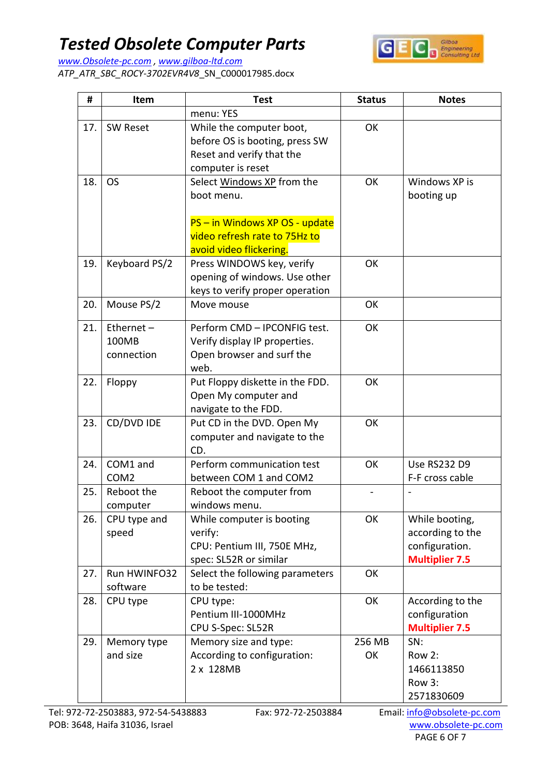

*www.Obsolete-pc.com , www.gilboa-ltd.com ATP\_ATR\_SBC\_ROCY-3702EVR4V8*\_SN\_C000017985.docx

| #   | Item                             | <b>Test</b>                                                                                                                            | <b>Status</b> | <b>Notes</b>                                                                  |
|-----|----------------------------------|----------------------------------------------------------------------------------------------------------------------------------------|---------------|-------------------------------------------------------------------------------|
|     |                                  | menu: YES                                                                                                                              |               |                                                                               |
| 17. | <b>SW Reset</b>                  | While the computer boot,<br>before OS is booting, press SW<br>Reset and verify that the<br>computer is reset                           | OK            |                                                                               |
| 18. | <b>OS</b>                        | Select Windows XP from the<br>boot menu.<br>PS - in Windows XP OS - update<br>video refresh rate to 75Hz to<br>avoid video flickering. | OK            | Windows XP is<br>booting up                                                   |
| 19. | Keyboard PS/2                    | Press WINDOWS key, verify<br>opening of windows. Use other<br>keys to verify proper operation                                          | OK            |                                                                               |
| 20. | Mouse PS/2                       | Move mouse                                                                                                                             | OK            |                                                                               |
| 21. | Ethernet-<br>100MB<br>connection | Perform CMD - IPCONFIG test.<br>Verify display IP properties.<br>Open browser and surf the<br>web.                                     | OK            |                                                                               |
| 22. | Floppy                           | Put Floppy diskette in the FDD.<br>Open My computer and<br>navigate to the FDD.                                                        | OK            |                                                                               |
| 23. | CD/DVD IDE                       | Put CD in the DVD. Open My<br>computer and navigate to the<br>CD.                                                                      | OK            |                                                                               |
| 24. | COM1 and<br>COM <sub>2</sub>     | Perform communication test<br>between COM 1 and COM2                                                                                   | OK            | <b>Use RS232 D9</b><br>F-F cross cable                                        |
| 25. | Reboot the<br>computer           | Reboot the computer from<br>windows menu.                                                                                              |               |                                                                               |
| 26. | CPU type and<br>speed            | While computer is booting<br>verify:<br>CPU: Pentium III, 750E MHz,<br>spec: SL52R or similar                                          | OK            | While booting,<br>according to the<br>configuration.<br><b>Multiplier 7.5</b> |
| 27. | Run HWINFO32<br>software         | Select the following parameters<br>to be tested:                                                                                       | OK            |                                                                               |
| 28. | CPU type                         | CPU type:<br>Pentium III-1000MHz<br>CPU S-Spec: SL52R                                                                                  | OK            | According to the<br>configuration<br><b>Multiplier 7.5</b>                    |
| 29. | Memory type<br>and size          | Memory size and type:<br>According to configuration:<br>2 x 128MB                                                                      | 256 MB<br>OK  | SN:<br>Row 2:<br>1466113850<br>Row 3:<br>2571830609                           |